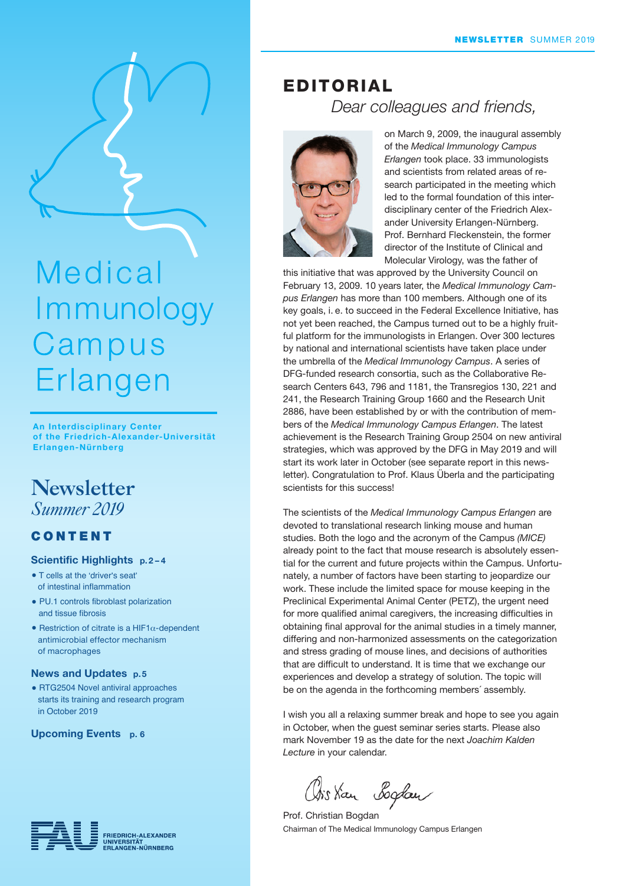

# Medical Immunology Campus Erlangen

An Interdisciplinary Center of the Friedrich-Alexander-Universität Erlangen-Nürnberg

## **Newsletter** *Summer 2019*

## CONTENT

#### Scientific Highlights p. 2 – 4

- T cells at the 'driver's seat' of intestinal inflammation
- PU.1 controls fibroblast polarization and tissue fibrosis
- Restriction of citrate is a HIF1 $\alpha$ -dependent antimicrobial effector mechanism of macrophages

#### News and Updates p. 5

• RTG2504 Novel antiviral approaches starts its training and research program in October 2019

Upcoming Events p. 6



## Dear colleagues and friends, EDITORIAL



on March 9, 2009, the inaugural assembly of the Medical Immunology Campus Erlangen took place. 33 immunologists and scientists from related areas of research participated in the meeting which led to the formal foundation of this interdisciplinary center of the Friedrich Alexander University Erlangen-Nürnberg. Prof. Bernhard Fleckenstein, the former director of the Institute of Clinical and Molecular Virology, was the father of

this initiative that was approved by the University Council on February 13, 2009. 10 years later, the Medical Immunology Campus Erlangen has more than 100 members. Although one of its key goals, i. e. to succeed in the Federal Excellence Initiative, has not yet been reached, the Campus turned out to be a highly fruitful platform for the immunologists in Erlangen. Over 300 lectures by national and international scientists have taken place under the umbrella of the Medical Immunology Campus. A series of DFG-funded research consortia, such as the Collaborative Research Centers 643, 796 and 1181, the Transregios 130, 221 and 241, the Research Training Group 1660 and the Research Unit 2886, have been established by or with the contribution of members of the Medical Immunology Campus Erlangen. The latest achievement is the Research Training Group 2504 on new antiviral strategies, which was approved by the DFG in May 2019 and will start its work later in October (see separate report in this newsletter). Congratulation to Prof. Klaus Überla and the participating scientists for this success!

The scientists of the Medical Immunology Campus Erlangen are devoted to translational research linking mouse and human studies. Both the logo and the acronym of the Campus (MICE) already point to the fact that mouse research is absolutely essential for the current and future projects within the Campus. Unfortunately, a number of factors have been starting to jeopardize our work. These include the limited space for mouse keeping in the Preclinical Experimental Animal Center (PETZ), the urgent need for more qualified animal caregivers, the increasing difficulties in obtaining final approval for the animal studies in a timely manner, differing and non-harmonized assessments on the categorization and stress grading of mouse lines, and decisions of authorities that are difficult to understand. It is time that we exchange our experiences and develop a strategy of solution. The topic will be on the agenda in the forthcoming members´ assembly.

I wish you all a relaxing summer break and hope to see you again in October, when the guest seminar series starts. Please also mark November 19 as the date for the next Joachim Kalden Lecture in your calendar.

Orskan Boglan

Prof. Christian Bogdan Chairman of The Medical Immunology Campus Erlangen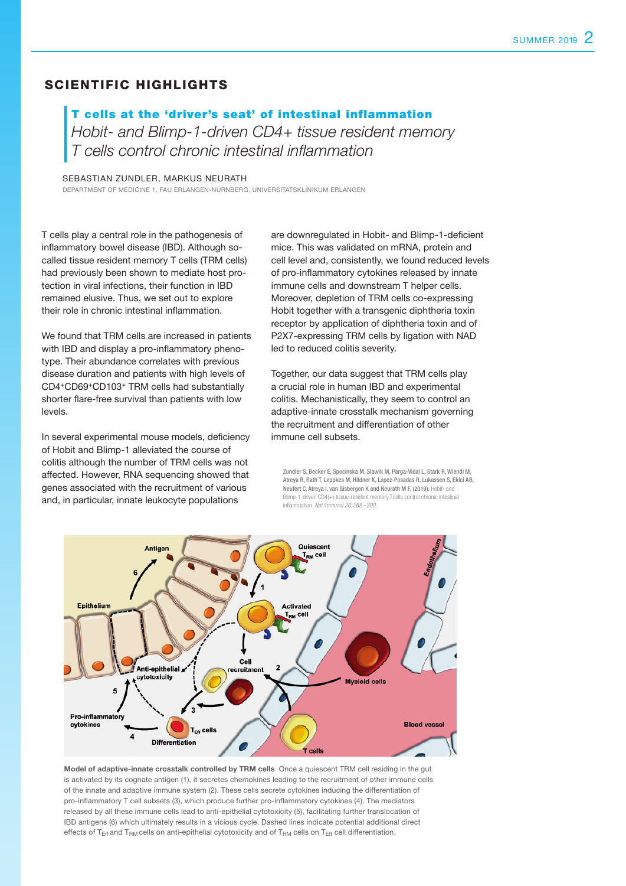## SCIENTIFIC HIGHLIGHTS

T cells at the 'driver's seat' of intestinal inflammation Hobit- and Blimp-1-driven CD4+ tissue resident memory T cells control chronic intestinal inflammation

SEBASTIAN ZUNDLER, MARKUS NEURATH

DEPARTMENT OF MEDICINE 1, FAU ERLANGEN-NÜRNBERG, UNIVERSITÄTSKLINIKUM ERLANGEN

T cells play a central role in the pathogenesis of inflammatory bowel disease (IBD). Although socalled tissue resident memory T cells (TRM cells) had previously been shown to mediate host protection in viral infections, their function in IBD remained elusive. Thus, we set out to explore their role in chronic intestinal inflammation.

We found that TRM cells are increased in patients with IBD and display a pro-inflammatory phenotype. Their abundance correlates with previous disease duration and patients with high levels of CD4+CD69+CD103+ TRM cells had substantially shorter flare-free survival than patients with low levels.

In several experimental mouse models, deficiency of Hobit and Blimp-1 alleviated the course of colitis although the number of TRM cells was not affected. However, RNA sequencing showed that genes associated with the recruitment of various and, in particular, innate leukocyte populations

are downregulated in Hobit- and Blimp-1-deficient mice. This was validated on mRNA, protein and cell level and, consistently, we found reduced levels of pro-inflammatory cytokines released by innate immune cells and downstream T helper cells. Moreover, depletion of TRM cells co-expressing Hobit together with a transgenic diphtheria toxin receptor by application of diphtheria toxin and of P2X7-expressing TRM cells by ligation with NAD led to reduced colitis severity.

Together, our data suggest that TRM cells play a crucial role in human IBD and experimental colitis. Mechanistically, they seem to control an adaptive-innate crosstalk mechanism governing the recruitment and differentiation of other immune cell subsets.

Zundler S, Becker E, Spocinska M, Slawik M, Parga-Vidal L, Stark R, Wiendl M, Atreya R, Rath T, Leppkes M, Hildner K, Lopez-Posadas R, Lukassen S, Ekici AB, Neufert C, Atreya I, van Gisbergen K and Neurath M F. (2019). Hobit- and Blimp-1-driven CD4(+) tissue-resident memory T cells control chronic intestinal inflammation. *Nat Immunol 20: 288 –300.*



Model of adaptive-innate crosstalk controlled by TRM cells Once a quiescent TRM cell residing in the gut is activated by its cognate antigen (1), it secretes chemokines leading to the recruitment of other immune cells of the innate and adaptive immune system (2). These cells secrete cytokines inducing the differentiation of pro-inflammatory T cell subsets (3), which produce further pro-inflammatory cytokines (4). The mediators released by all these immune cells lead to anti-epithelial cytotoxicity (5), facilitating further translocation of IBD antigens (6) which ultimately results in a vicious cycle. Dashed lines indicate potential additional direct effects of T<sub>Eff</sub> and T<sub>RM</sub> cells on anti-epithelial cytotoxicity and of T<sub>RM</sub> cells on T<sub>Eff</sub> cell differentiation.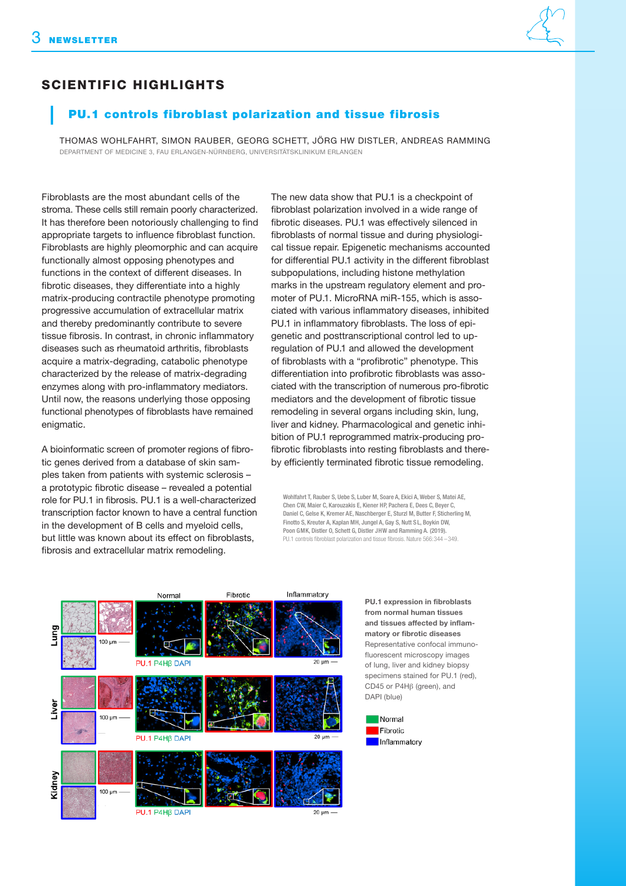## SCIENTIFIC HIGHLIGHTS

## PU.1 controls fibroblast polarization and tissue fibrosis

THOMAS WOHLFAHRT, SIMON RAUBER, GEORG SCHETT, JÖRG HW DISTLER, ANDREAS RAMMING DEPARTMENT OF MEDICINE 3, FAU ERLANGEN-NÜRNBERG, UNIVERSITÄTSKLINIKUM ERLANGEN

Fibroblasts are the most abundant cells of the stroma. These cells still remain poorly characterized. It has therefore been notoriously challenging to find appropriate targets to influence fibroblast function. Fibroblasts are highly pleomorphic and can acquire functionally almost opposing phenotypes and functions in the context of different diseases. In fibrotic diseases, they differentiate into a highly matrix-producing contractile phenotype promoting progressive accumulation of extracellular matrix and thereby predominantly contribute to severe tissue fibrosis. In contrast, in chronic inflammatory diseases such as rheumatoid arthritis, fibroblasts acquire a matrix-degrading, catabolic phenotype characterized by the release of matrix-degrading enzymes along with pro-inflammatory mediators. Until now, the reasons underlying those opposing functional phenotypes of fibroblasts have remained enigmatic.

A bioinformatic screen of promoter regions of fibro-tic genes derived from a database of skin samples taken from patients with systemic sclerosis – a prototypic fibrotic disease – revealed a potential role for PU.1 in fibrosis. PU.1 is a well-characterized transcription factor known to have a central function in the development of B cells and myeloid cells, but little was known about its effect on fibroblasts, fibrosis and extracellular matrix remodeling.

The new data show that PU.1 is a checkpoint of fibroblast polarization involved in a wide range of fibrotic diseases. PU.1 was effectively silenced in fibroblasts of normal tissue and during physiological tissue repair. Epigenetic mechanisms accounted for differential PU.1 activity in the different fibroblast subpopulations, including histone methylation marks in the upstream regulatory element and promoter of PU.1. MicroRNA miR-155, which is associated with various inflammatory diseases, inhibited PU.1 in inflammatory fibroblasts. The loss of epigenetic and posttranscriptional control led to upregulation of PU.1 and allowed the development of fibroblasts with a "profibrotic" phenotype. This differentiation into profibrotic fibroblasts was associated with the transcription of numerous pro-fibrotic mediators and the development of fibrotic tissue remodeling in several organs including skin, lung, liver and kidney. Pharmacological and genetic inhibition of PU.1 reprogrammed matrix-producing profibrotic fibroblasts into resting fibroblasts and thereby efficiently terminated fibrotic tissue remodeling.

Wohlfahrt T, Rauber S, Uebe S, Luber M, Soare A, Ekici A, Weber S, Matei AE, Chen CW, Maier C, Karouzakis E, Kiener HP, Pachera E, Dees C, Beyer C, Daniel C, Gelse K, Kremer AE, Naschberger E, Sturzl M, Butter F, Sticherling M, Finotto S, Kreuter A, Kaplan MH, Jungel A, Gay S, Nutt S L, Boykin DW, Poon GMK, Distler O, Schett G, Distler JHW and Ramming A. (2019). PU.1 controls fibroblast polarization and tissue fibrosis. Nature 566: 344 –349.



PU.1 expression in fibroblasts from normal human tissues and tissues affected by inflammatory or fibrotic diseases Representative confocal immunofluorescent microscopy images of lung, liver and kidney biopsy specimens stained for PU.1 (red), CD45 or P4Hβ (green), and DAPI (blue)

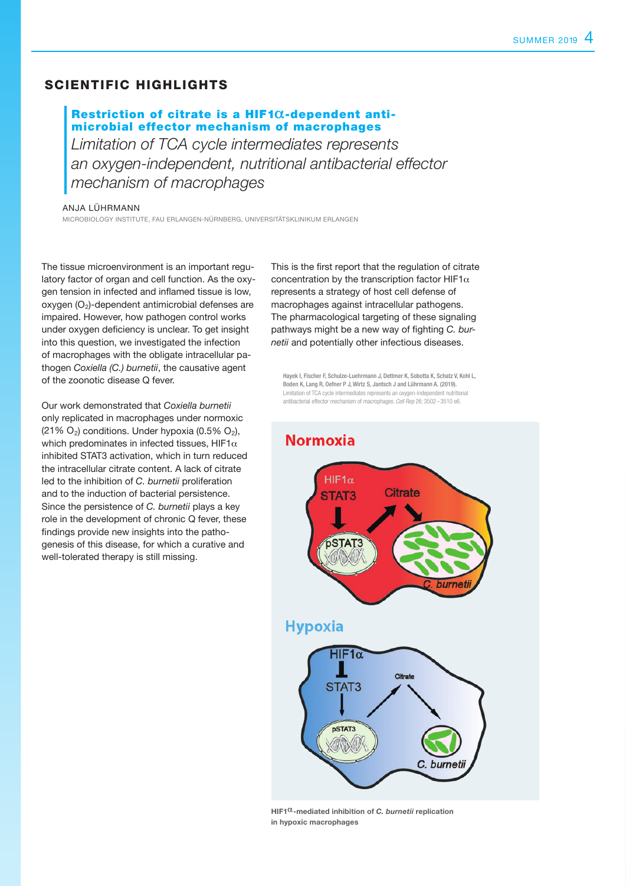## SCIENTIFIC HIGHLIGHTS

## Restriction of citrate is a  $HIF1@$ -dependent antimicrobial effector mechanism of macrophages

Limitation of TCA cycle intermediates represents an oxygen-independent, nutritional antibacterial effector mechanism of macrophages

#### ANJA LÜHRMANN

MICROBIOLOGY INSTITUTE, FAU ERLANGEN-NÜRNBERG, UNIVERSITÄTSKLINIKUM ERLANGEN

The tissue microenvironment is an important regulatory factor of organ and cell function. As the oxygen tension in infected and inflamed tissue is low,  $o$ xygen  $(O<sub>2</sub>)$ -dependent antimicrobial defenses are impaired. However, how pathogen control works under oxygen deficiency is unclear. To get insight into this question, we investigated the infection of macrophages with the obligate intracellular pathogen Coxiella (C.) burnetii, the causative agent of the zoonotic disease Q fever.

Our work demonstrated that Coxiella burnetii only replicated in macrophages under normoxic  $(21\% \text{ O}_2)$  conditions. Under hypoxia  $(0.5\% \text{ O}_2)$ , which predominates in infected tissues, HIF1 $\alpha$ inhibited STAT3 activation, which in turn reduced the intracellular citrate content. A lack of citrate led to the inhibition of C. burnetii proliferation and to the induction of bacterial persistence. Since the persistence of C. burnetii plays a key role in the development of chronic Q fever, these findings provide new insights into the pathogenesis of this disease, for which a curative and well-tolerated therapy is still missing.

This is the first report that the regulation of citrate concentration by the transcription factor HIF1 $\alpha$ represents a strategy of host cell defense of macrophages against intracellular pathogens. The pharmacological targeting of these signaling pathways might be a new way of fighting C. burnetii and potentially other infectious diseases.

Hayek I, Fischer F, Schulze-Luehrmann J, Dettmer K, Sobotta K, Schatz V, Kohl L, Boden K, Lang R, Oefner P J, Wirtz S, Jantsch J and Lührmann A. (2019). Limitation of TCA cycle intermediates represents an oxygen-independent nutritional antibacterial effector mechanism of macrophages. *Cell Rep* 26: 3502–3510 e6.

## **Normoxia**





HIF1 $\alpha$ -mediated inhibition of C. burnetii replication in hypoxic macrophages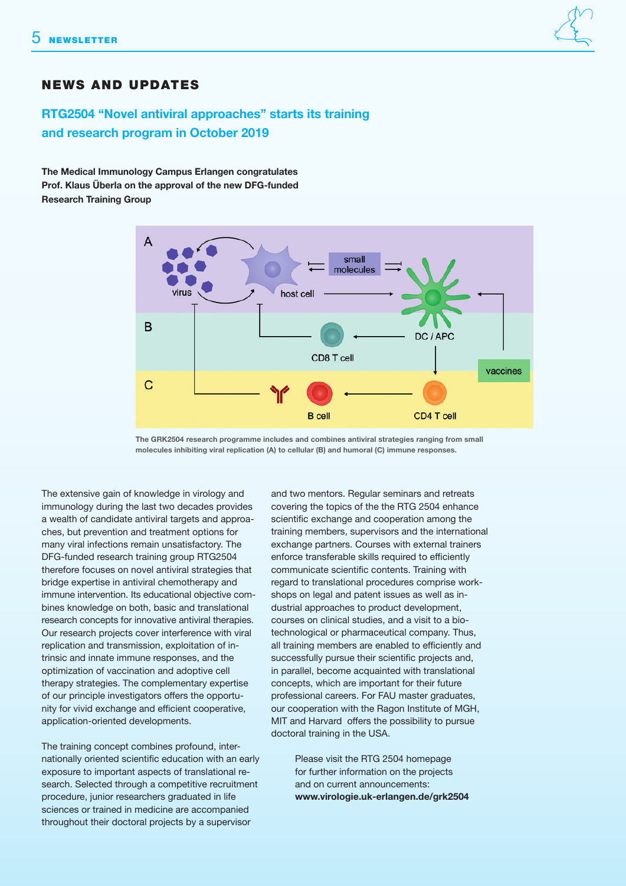## NEWS AND UPDATES

## RTG2504 "Novel antiviral approaches" starts its training and research program in October 2019

The Medical Immunology Campus Erlangen congratulates Prof. Klaus Überla on the approval of the new DFG-funded Research Training Group



The GRK2504 research programme includes and combines antiviral strategies ranging from small molecules inhibiting viral replication (A) to cellular (B) and humoral (C) immune responses.

The extensive gain of knowledge in virology and immunology during the last two decades provides a wealth of candidate antiviral targets and approaches, but prevention and treatment options for many viral infections remain unsatisfactory. The DFG-funded research training group RTG2504 therefore focuses on novel antiviral strategies that bridge expertise in antiviral chemotherapy and immune intervention. Its educational objective combines knowledge on both, basic and translational research concepts for innovative antiviral therapies. Our research projects cover interference with viral replication and transmission, exploitation of intrinsic and innate immune responses, and the optimization of vaccination and adoptive cell therapy strategies. The complementary expertise of our principle investigators offers the opportunity for vivid exchange and efficient cooperative, application-oriented developments.

The training concept combines profound, internationally oriented scientific education with an early exposure to important aspects of translational research. Selected through a competitive recruitment procedure, junior researchers graduated in life sciences or trained in medicine are accompanied throughout their doctoral projects by a supervisor

and two mentors. Regular seminars and retreats covering the topics of the the RTG 2504 enhance scientific exchange and cooperation among the training members, supervisors and the international exchange partners. Courses with external trainers enforce transferable skills required to efficiently communicate scientific contents. Training with regard to translational procedures comprise workshops on legal and patent issues as well as industrial approaches to product development, courses on clinical studies, and a visit to a biotechnological or pharmaceutical company. Thus, all training members are enabled to efficiently and successfully pursue their scientific projects and, in parallel, become acquainted with translational concepts, which are important for their future professional careers. For FAU master graduates, our cooperation with the Ragon Institute of MGH, MIT and Harvard offers the possibility to pursue doctoral training in the USA.

> Please visit the RTG 2504 homepage for further information on the projects and on current announcements: www.virologie.uk-erlangen.de/grk2504